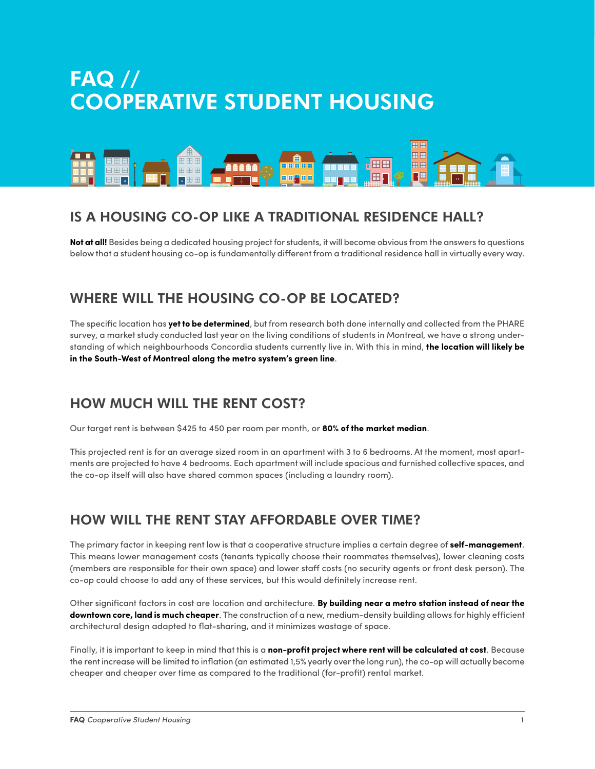# FAQ // COOPERATIVE STUDENT HOUSING



# IS A HOUSING CO-OP LIKE A TRADITIONAL RESIDENCE HALL?

**Not at all!** Besides being a dedicated housing project for students, it will become obvious from the answers to questions below that a student housing co-op is fundamentally different from a traditional residence hall in virtually every way.

#### WHERE WILL THE HOUSING CO-OP BE LOCATED?

The specific location has **yet to be determined**, but from research both done internally and collected from the PHARE survey, a market study conducted last year on the living conditions of students in Montreal, we have a strong understanding of which neighbourhoods Concordia students currently live in. With this in mind, **the location will likely be in the South-West of Montreal along the metro system's green line**.

# HOW MUCH WILL THE RENT COST?

Our target rent is between \$425 to 450 per room per month, or **80% of the market median**.

This projected rent is for an average sized room in an apartment with 3 to 6 bedrooms. At the moment, most apartments are projected to have 4 bedrooms. Each apartment will include spacious and furnished collective spaces, and the co-op itself will also have shared common spaces (including a laundry room).

# HOW WILL THE RENT STAY AFFORDABLE OVER TIME?

The primary factor in keeping rent low is that a cooperative structure implies a certain degree of **self-management**. This means lower management costs (tenants typically choose their roommates themselves), lower cleaning costs (members are responsible for their own space) and lower staff costs (no security agents or front desk person). The co-op could choose to add any of these services, but this would definitely increase rent.

Other significant factors in cost are location and architecture. **By building near a metro station instead of near the downtown core, land is much cheaper**. The construction of a new, medium-density building allows for highly efficient architectural design adapted to flat-sharing, and it minimizes wastage of space.

Finally, it is important to keep in mind that this is a **non-profit project where rent will be calculated at cost**. Because the rent increase will be limited to inflation (an estimated 1,5% yearly over the long run), the co-op will actually become cheaper and cheaper over time as compared to the traditional (for-profit) rental market.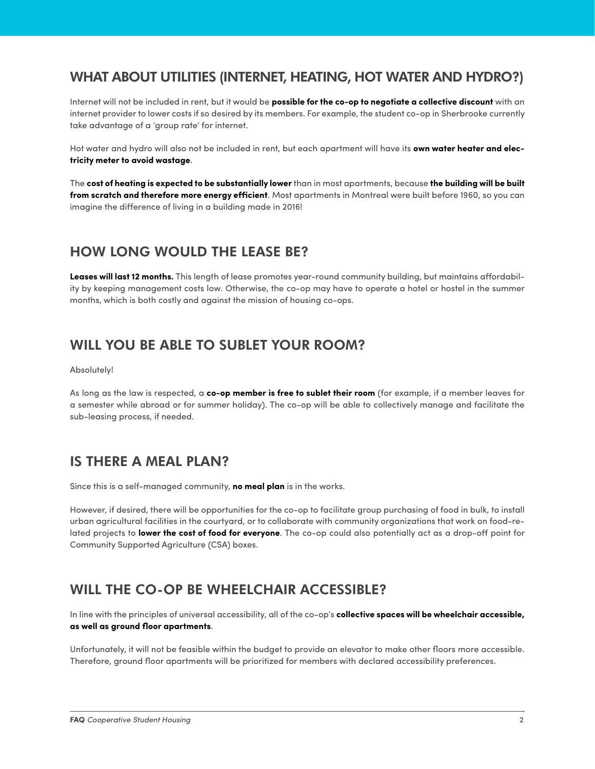### WHAT ABOUT UTILITIES (INTERNET, HEATING, HOT WATER AND HYDRO?)

Internet will not be included in rent, but it would be **possible for the co-op to negotiate a collective discount** with an internet provider to lower costs if so desired by its members. For example, the student co-op in Sherbrooke currently take advantage of a 'group rate' for internet.

Hot water and hydro will also not be included in rent, but each apartment will have its **own water heater and electricity meter to avoid wastage**.

The **cost of heating is expected to be substantially lower** than in most apartments, because **the building will be built from scratch and therefore more energy efficient**. Most apartments in Montreal were built before 1960, so you can imagine the difference of living in a building made in 2016!

# HOW LONG WOULD THE LEASE BE?

**Leases will last 12 months.** This length of lease promotes year-round community building, but maintains affordability by keeping management costs low. Otherwise, the co-op may have to operate a hotel or hostel in the summer months, which is both costly and against the mission of housing co-ops.

#### WILL YOU BE ABLE TO SUBLET YOUR ROOM?

Absolutely!

As long as the law is respected, a **co-op member is free to sublet their room** (for example, if a member leaves for a semester while abroad or for summer holiday). The co-op will be able to collectively manage and facilitate the sub-leasing process, if needed.

# IS THERE A MEAL PLAN?

Since this is a self-managed community, **no meal plan** is in the works.

However, if desired, there will be opportunities for the co-op to facilitate group purchasing of food in bulk, to install urban agricultural facilities in the courtyard, or to collaborate with community organizations that work on food-related projects to **lower the cost of food for everyone**. The co-op could also potentially act as a drop-off point for Community Supported Agriculture (CSA) boxes.

# WILL THE CO-OP BE WHEELCHAIR ACCESSIBLE?

In line with the principles of universal accessibility, all of the co-op's **collective spaces will be wheelchair accessible, as well as ground floor apartments**.

Unfortunately, it will not be feasible within the budget to provide an elevator to make other floors more accessible. Therefore, ground floor apartments will be prioritized for members with declared accessibility preferences.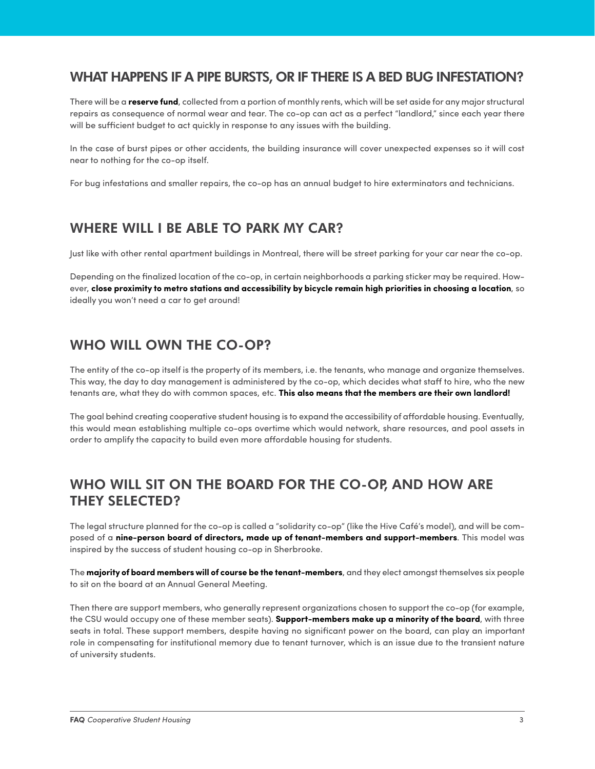#### WHAT HAPPENS IF A PIPE BURSTS, OR IF THERE IS A BED BUG INFESTATION?

There will be a **reserve fund**, collected from a portion of monthly rents, which will be set aside for any major structural repairs as consequence of normal wear and tear. The co-op can act as a perfect "landlord," since each year there will be sufficient budget to act quickly in response to any issues with the building.

In the case of burst pipes or other accidents, the building insurance will cover unexpected expenses so it will cost near to nothing for the co-op itself.

For bug infestations and smaller repairs, the co-op has an annual budget to hire exterminators and technicians.

# WHERE WILL I BE ABLE TO PARK MY CAR?

Just like with other rental apartment buildings in Montreal, there will be street parking for your car near the co-op.

Depending on the finalized location of the co-op, in certain neighborhoods a parking sticker may be required. However, **close proximity to metro stations and accessibility by bicycle remain high priorities in choosing a location**, so ideally you won't need a car to get around!

# WHO WILL OWN THE CO-OP?

The entity of the co-op itself is the property of its members, i.e. the tenants, who manage and organize themselves. This way, the day to day management is administered by the co-op, which decides what staff to hire, who the new tenants are, what they do with common spaces, etc. **This also means that the members are their own landlord!**

The goal behind creating cooperative student housing is to expand the accessibility of affordable housing. Eventually, this would mean establishing multiple co-ops overtime which would network, share resources, and pool assets in order to amplify the capacity to build even more affordable housing for students.

# WHO WILL SIT ON THE BOARD FOR THE CO-OP, AND HOW ARE THEY SELECTED?

The legal structure planned for the co-op is called a "solidarity co-op" (like the Hive Café's model), and will be composed of a **nine-person board of directors, made up of tenant-members and support-members**. This model was inspired by the success of student housing co-op in Sherbrooke.

The **majority of board members will of course be the tenant-members**, and they elect amongst themselves six people to sit on the board at an Annual General Meeting.

Then there are support members, who generally represent organizations chosen to support the co-op (for example, the CSU would occupy one of these member seats). **Support-members make up a minority of the board**, with three seats in total. These support members, despite having no significant power on the board, can play an important role in compensating for institutional memory due to tenant turnover, which is an issue due to the transient nature of university students.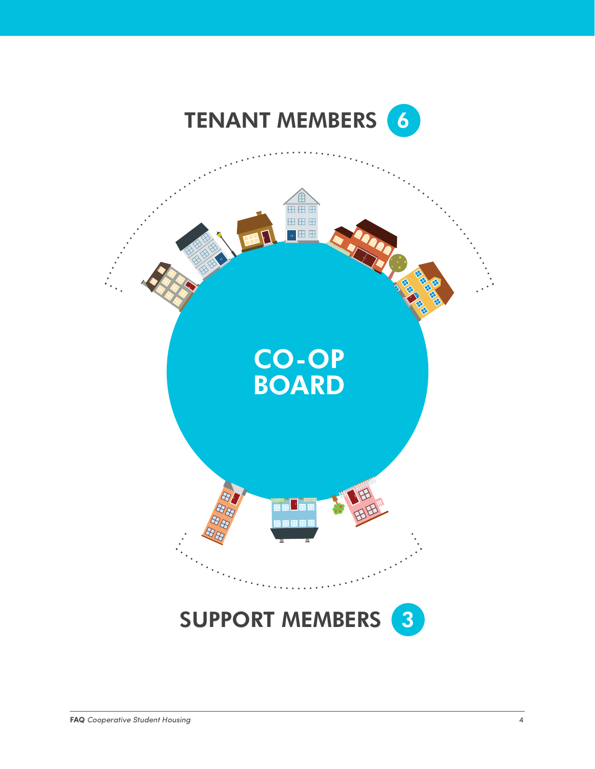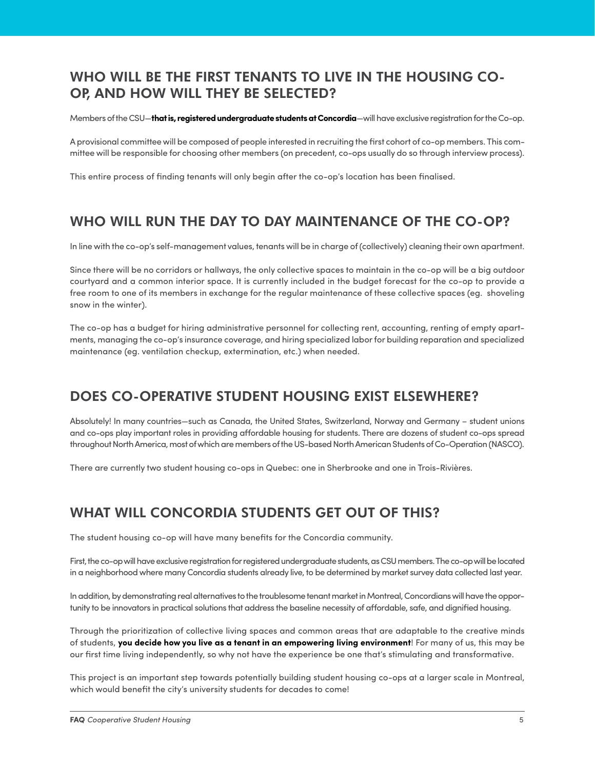# WHO WILL BE THE FIRST TENANTS TO LIVE IN THE HOUSING CO-OP, AND HOW WILL THEY BE SELECTED?

Members of the CSU—**that is, registered undergraduate students at Concordia**—will have exclusive registration for the Co-op.

A provisional committee will be composed of people interested in recruiting the first cohort of co-op members. This committee will be responsible for choosing other members (on precedent, co-ops usually do so through interview process).

This entire process of finding tenants will only begin after the co-op's location has been finalised.

# WHO WILL RUN THE DAY TO DAY MAINTENANCE OF THE CO-OP?

In line with the co-op's self-management values, tenants will be in charge of (collectively) cleaning their own apartment.

Since there will be no corridors or hallways, the only collective spaces to maintain in the co-op will be a big outdoor courtyard and a common interior space. It is currently included in the budget forecast for the co-op to provide a free room to one of its members in exchange for the regular maintenance of these collective spaces (eg. shoveling snow in the winter).

The co-op has a budget for hiring administrative personnel for collecting rent, accounting, renting of empty apartments, managing the co-op's insurance coverage, and hiring specialized labor for building reparation and specialized maintenance (eg. ventilation checkup, extermination, etc.) when needed.

# DOES CO-OPERATIVE STUDENT HOUSING EXIST ELSEWHERE?

Absolutely! In many countries—such as Canada, the United States, Switzerland, Norway and Germany – student unions and co-ops play important roles in providing affordable housing for students. There are dozens of student co-ops spread throughout North America, most of which are members of the US-based North American Students of Co-Operation (NASCO).

There are currently two student housing co-ops in Quebec: one in Sherbrooke and one in Trois-Rivières.

# WHAT WILL CONCORDIA STUDENTS GET OUT OF THIS?

The student housing co-op will have many benefits for the Concordia community.

First, the co-op will have exclusive registration for registered undergraduate students, as CSU members. The co-op will be located in a neighborhood where many Concordia students already live, to be determined by market survey data collected last year.

In addition, by demonstrating real alternatives to the troublesome tenant market in Montreal, Concordians will have the opportunity to be innovators in practical solutions that address the baseline necessity of affordable, safe, and dignified housing.

Through the prioritization of collective living spaces and common areas that are adaptable to the creative minds of students, **you decide how you live as a tenant in an empowering living environment**! For many of us, this may be our first time living independently, so why not have the experience be one that's stimulating and transformative.

This project is an important step towards potentially building student housing co-ops at a larger scale in Montreal, which would benefit the city's university students for decades to come!